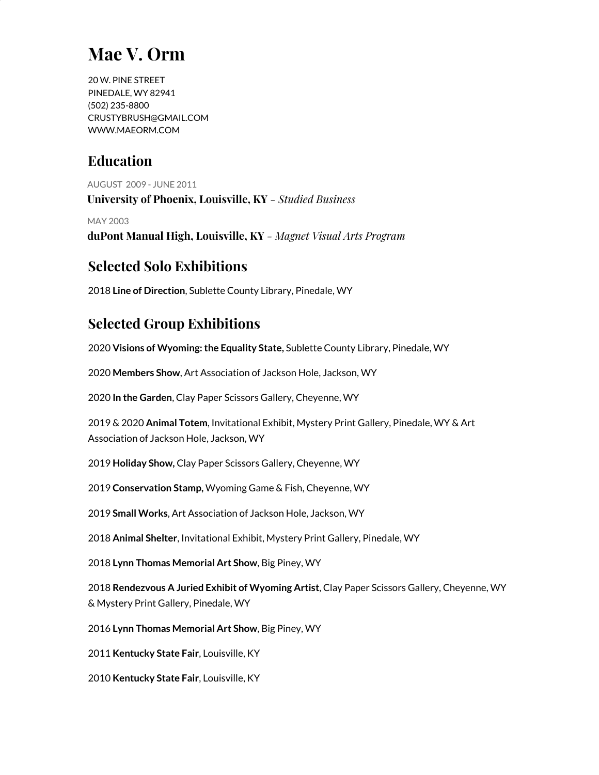# **Mae V. Orm**

20 W. PINE STREET PINEDALE, WY 82941 (502) 235-8800 [CRUSTYBRUSH@GMAIL.COM](mailto:CRUSTYBRUSH@GMAIL.COM) WWW.MAEORM.COM

### **Education**

AUGUST 2009 - JUNE 2011 **University of Phoenix, Louisville, KY** *- Studied Business*

MAY 2003 **duPont Manual High, Louisville, KY** *- Magnet Visual Arts Program*

### **Selected Solo Exhibitions**

2018 **Line of Direction**, Sublette County Library, Pinedale, WY

## **Selected Group Exhibitions**

2020 **Visions of Wyoming:the Equality State,** Sublette County Library, Pinedale, WY

2020 **Members Show**, Art Association of Jackson Hole, Jackson, WY

2020 **In the Garden**, Clay Paper Scissors Gallery, Cheyenne, WY

2019 & 2020 **Animal Totem**, Invitational Exhibit, Mystery Print Gallery, Pinedale, WY & Art Association of Jackson Hole, Jackson, WY

2019 **Holiday Show,** Clay Paper Scissors Gallery, Cheyenne, WY

2019 **Conservation Stamp,** Wyoming Game & Fish, Cheyenne, WY

2019 **Small Works**, Art Association of Jackson Hole, Jackson, WY

2018 **Animal Shelter**, Invitational Exhibit, Mystery Print Gallery, Pinedale, WY

2018 **Lynn Thomas Memorial Art Show**, Big Piney, WY

2018 **Rendezvous A Juried Exhibit of Wyoming Artist**, Clay Paper Scissors Gallery, Cheyenne, WY & Mystery Print Gallery, Pinedale, WY

2016 **Lynn Thomas Memorial Art Show**, Big Piney, WY

2011 **Kentucky State Fair**, Louisville, KY

2010 **Kentucky State Fair**, Louisville, KY